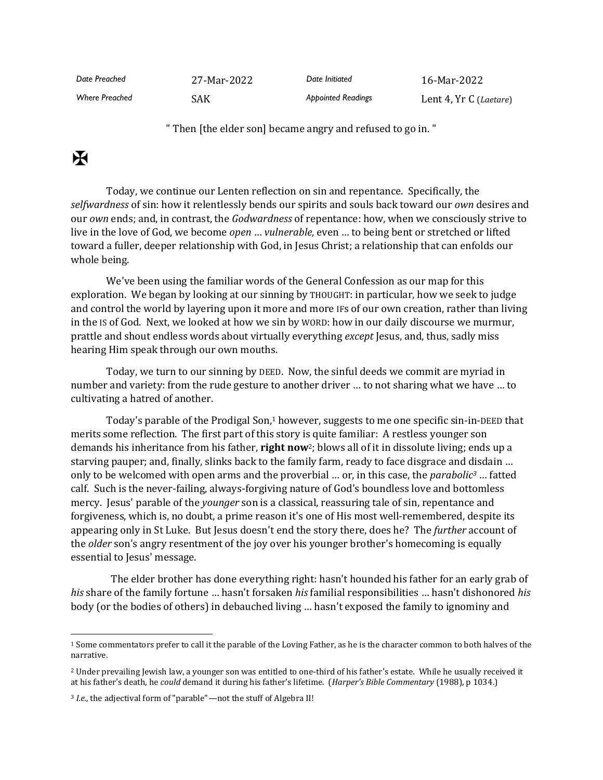| Date Preached         | 27-Mar-2022 | Date Initiated            | 16-Mar-2022            |
|-----------------------|-------------|---------------------------|------------------------|
| <b>Where Preached</b> | SAK         | <b>Appointed Readings</b> | Lent 4, Yr C (Laetare) |

" Then [the elder son] became angry and refused to go in. "

## $\mathbf K$

Today, we continue our Lenten reflection on sin and repentance. Specifically, the *selfwardness* of sin: how it relentlessly bends our spirits and souls back toward our *own* desires and our *own* ends; and, in contrast, the *Godwardness* of repentance: how, when we consciously strive to live in the love of God, we become *open* … *vulnerable,* even … to being bent or stretched or lifted toward a fuller, deeper relationship with God, in Jesus Christ; a relationship that can enfolds our whole being.

We've been using the familiar words of the General Confession as our map for this exploration. We began by looking at our sinning by THOUGHT: in particular, how we seek to judge and control the world by layering upon it more and more IFs of our own creation, rather than living in the IS of God. Next, we looked at how we sin by WORD: how in our daily discourse we murmur, prattle and shout endless words about virtually everything *except* Jesus, and, thus, sadly miss hearing Him speak through our own mouths.

Today, we turn to our sinning by DEED. Now, the sinful deeds we commit are myriad in number and variety: from the rude gesture to another driver … to not sharing what we have … to cultivating a hatred of another.

Today's parable of the Prodigal Son,<sup>1</sup> however, suggests to me one specific sin-in-DEED that merits some reflection. The first part of this story is quite familiar: A restless younger son demands his inheritance from his father, **right now**2; blows all of it in dissolute living; ends up a starving pauper; and, finally, slinks back to the family farm, ready to face disgrace and disdain … only to be welcomed with open arms and the proverbial … or, in this case, the *parabolic<sup>3</sup>* … fatted calf. Such is the never-failing, always-forgiving nature of God's boundless love and bottomless mercy. Jesus' parable of the *younger* son is a classical, reassuring tale of sin, repentance and forgiveness, which is, no doubt, a prime reason it's one of His most well-remembered, despite its appearing only in St Luke. But Jesus doesn't end the story there, does he? The *further* account of the *older* son's angry resentment of the joy over his younger brother's homecoming is equally essential to Jesus' message.

 The elder brother has done everything right: hasn't hounded his father for an early grab of *his* share of the family fortune … hasn't forsaken *his* familial responsibilities … hasn't dishonored *his* body (or the bodies of others) in debauched living … hasn't exposed the family to ignominy and

<sup>1</sup> Some commentators prefer to call it the parable of the Loving Father, as he is the character common to both halves of the narrative.

<sup>2</sup> Under prevailing Jewish law, a younger son was entitled to one-third of his father's estate. While he usually received it at his father's death, he *could* demand it during his father's lifetime. (*Harper's Bible Commentary* (1988), p 1034.)

<sup>3</sup> *I.e.,* the adjectival form of "parable"—not the stuff of Algebra II!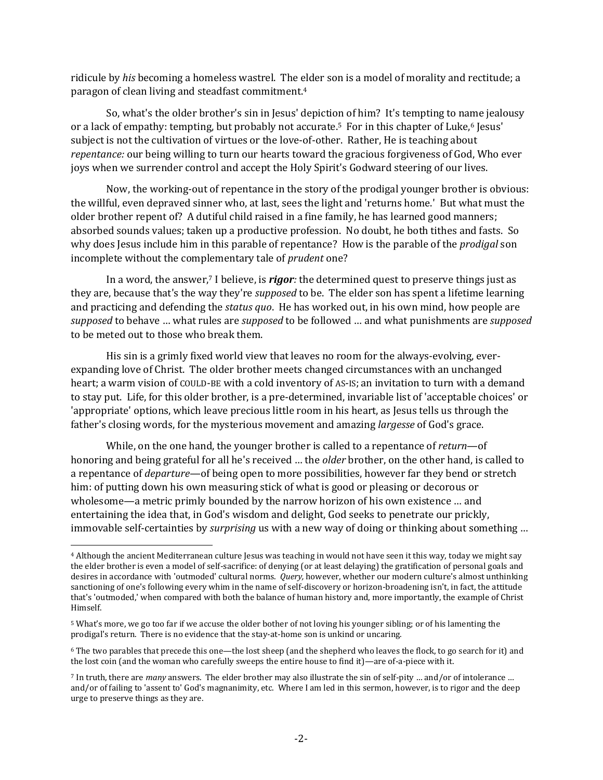ridicule by *his* becoming a homeless wastrel. The elder son is a model of morality and rectitude; a paragon of clean living and steadfast commitment.<sup>4</sup>

So, what's the older brother's sin in Jesus' depiction of him? It's tempting to name jealousy or a lack of empathy: tempting, but probably not accurate.<sup>5</sup> For in this chapter of Luke,<sup>6</sup> Jesus' subject is not the cultivation of virtues or the love-of-other. Rather, He is teaching about *repentance:* our being willing to turn our hearts toward the gracious forgiveness of God, Who ever joys when we surrender control and accept the Holy Spirit's Godward steering of our lives.

Now, the working-out of repentance in the story of the prodigal younger brother is obvious: the willful, even depraved sinner who, at last, sees the light and 'returns home.' But what must the older brother repent of? A dutiful child raised in a fine family, he has learned good manners; absorbed sounds values; taken up a productive profession. No doubt, he both tithes and fasts. So why does Jesus include him in this parable of repentance? How is the parable of the *prodigal* son incomplete without the complementary tale of *prudent* one?

In a word, the answer,<sup>7</sup> I believe, is *rigor:* the determined quest to preserve things just as they are, because that's the way they're *supposed* to be. The elder son has spent a lifetime learning and practicing and defending the *status quo*. He has worked out, in his own mind, how people are *supposed* to behave … what rules are *supposed* to be followed … and what punishments are *supposed* to be meted out to those who break them.

His sin is a grimly fixed world view that leaves no room for the always-evolving, everexpanding love of Christ. The older brother meets changed circumstances with an unchanged heart; a warm vision of COULD-BE with a cold inventory of AS-IS; an invitation to turn with a demand to stay put. Life, for this older brother, is a pre-determined, invariable list of 'acceptable choices' or 'appropriate' options, which leave precious little room in his heart, as Jesus tells us through the father's closing words, for the mysterious movement and amazing *largesse* of God's grace.

While, on the one hand, the younger brother is called to a repentance of *return*—of honoring and being grateful for all he's received … the *older* brother, on the other hand, is called to a repentance of *departure*—of being open to more possibilities, however far they bend or stretch him: of putting down his own measuring stick of what is good or pleasing or decorous or wholesome—a metric primly bounded by the narrow horizon of his own existence … and entertaining the idea that, in God's wisdom and delight, God seeks to penetrate our prickly, immovable self-certainties by *surprising* us with a new way of doing or thinking about something …

<sup>&</sup>lt;sup>4</sup> Although the ancient Mediterranean culture Jesus was teaching in would not have seen it this way, today we might say the elder brother is even a model of self-sacrifice: of denying (or at least delaying) the gratification of personal goals and desires in accordance with 'outmoded' cultural norms. *Query,* however, whether our modern culture's almost unthinking sanctioning of one's following every whim in the name of self-discovery or horizon-broadening isn't, in fact, the attitude that's 'outmoded,' when compared with both the balance of human history and, more importantly, the example of Christ Himself.

<sup>5</sup> What's more, we go too far if we accuse the older bother of not loving his younger sibling; or of his lamenting the prodigal's return. There is no evidence that the stay-at-home son is unkind or uncaring.

<sup>6</sup> The two parables that precede this one—the lost sheep (and the shepherd who leaves the flock, to go search for it) and the lost coin (and the woman who carefully sweeps the entire house to find it)—are of-a-piece with it.

<sup>7</sup> In truth, there are *many* answers. The elder brother may also illustrate the sin of self-pity … and/or of intolerance … and/or of failing to 'assent to' God's magnanimity, etc. Where I am led in this sermon, however, is to rigor and the deep urge to preserve things as they are.